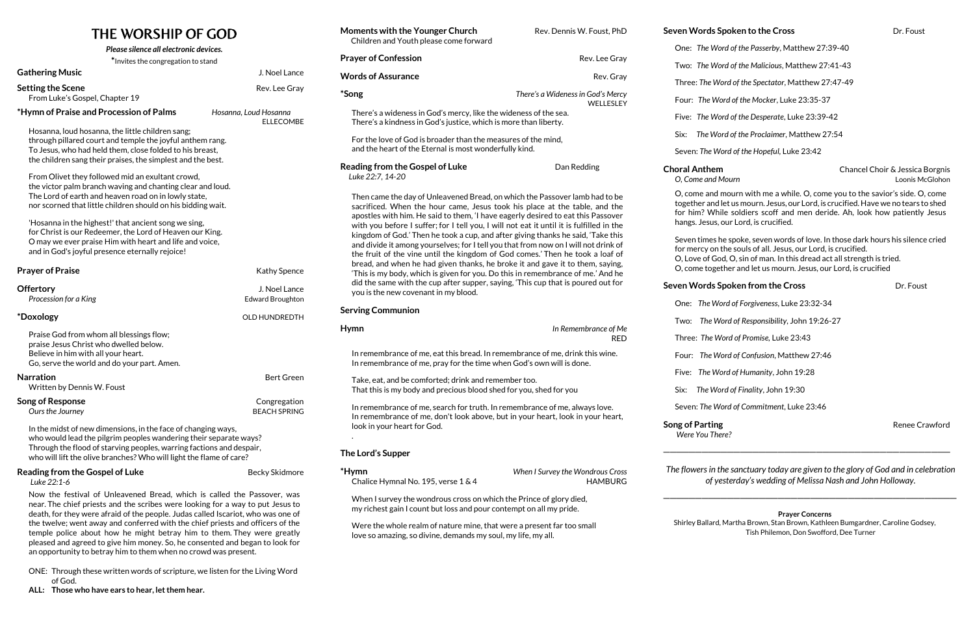# THE WORSHIP OF GOD

| Please silence all electronic devices.                                                                                                                                                                                                                                            |                                           |  |  |
|-----------------------------------------------------------------------------------------------------------------------------------------------------------------------------------------------------------------------------------------------------------------------------------|-------------------------------------------|--|--|
| *Invites the congregation to stand                                                                                                                                                                                                                                                |                                           |  |  |
| <b>Gathering Music</b>                                                                                                                                                                                                                                                            | J. Noel Lance                             |  |  |
| <b>Setting the Scene</b><br>From Luke's Gospel, Chapter 19                                                                                                                                                                                                                        | Rev. Lee Gray                             |  |  |
| *Hymn of Praise and Procession of Palms                                                                                                                                                                                                                                           | Hosanna, Loud Hosanna<br><b>ELLECOMBE</b> |  |  |
| Hosanna, loud hosanna, the little children sang;<br>through pillared court and temple the joyful anthem rang.<br>To Jesus, who had held them, close folded to his breast,<br>the children sang their praises, the simplest and the best.                                          |                                           |  |  |
| From Olivet they followed mid an exultant crowd,<br>the victor palm branch waving and chanting clear and loud.<br>The Lord of earth and heaven road on in lowly state,<br>nor scorned that little children should on his bidding wait.                                            |                                           |  |  |
| 'Hosanna in the highest!' that ancient song we sing,<br>for Christ is our Redeemer, the Lord of Heaven our King.<br>O may we ever praise Him with heart and life and voice,<br>and in God's joyful presence eternally rejoice!                                                    |                                           |  |  |
| <b>Prayer of Praise</b>                                                                                                                                                                                                                                                           | Kathy Spence                              |  |  |
|                                                                                                                                                                                                                                                                                   |                                           |  |  |
| <b>Offertory</b><br>Procession for a King                                                                                                                                                                                                                                         | J. Noel Lance<br><b>Edward Broughton</b>  |  |  |
| *Doxology                                                                                                                                                                                                                                                                         | <b>OLD HUNDREDTH</b>                      |  |  |
| Praise God from whom all blessings flow;<br>praise Jesus Christ who dwelled below.<br>Believe in him with all your heart.<br>Go, serve the world and do your part. Amen.                                                                                                          |                                           |  |  |
| <b>Narration</b><br>Written by Dennis W. Foust                                                                                                                                                                                                                                    | <b>Bert Green</b>                         |  |  |
| <b>Song of Response</b><br>Ours the Journey                                                                                                                                                                                                                                       | Congregation<br><b>BEACH SPRING</b>       |  |  |
| In the midst of new dimensions, in the face of changing ways,<br>who would lead the pilgrim peoples wandering their separate ways?<br>Through the flood of starving peoples, warring factions and despair,<br>who will lift the olive branches? Who will light the flame of care? |                                           |  |  |

Now the festival of Unleavened Bread, which is called the Passover, was near. The chief priests and the scribes were looking for a way to put Jesus to death, for they were afraid of the people. Judas called Iscariot, who was one of the twelve; went away and conferred with the chief priests and officers of the temple police about how he might betray him to them. They were greatly pleased and agreed to give him money. So, he consented and began to look for

an opportunity to betray him to them when no crowd was present.

ONE: Through these written words of scripture, we listen for the Living Word of God.

**ALL: Those who have ears to hear, let them hear.** 

### **Seven Words Spoken to the Cross Dr. Foust**

### **Example 3 Arror Spoken from the Cross Spoken from the Cross Dr. Foust**

| <b>Moments with the Younger Church</b>                                                                                                                                                                                                                                                                                                                                                                                                                                                                                                                                                                                                                                                                                                                                    | Rev. Dennis W. Foust, PhD                          | Seven Words Spoken to the Cross                                                                                                                                                                                                                                                                  | Dr. Foust                                          |
|---------------------------------------------------------------------------------------------------------------------------------------------------------------------------------------------------------------------------------------------------------------------------------------------------------------------------------------------------------------------------------------------------------------------------------------------------------------------------------------------------------------------------------------------------------------------------------------------------------------------------------------------------------------------------------------------------------------------------------------------------------------------------|----------------------------------------------------|--------------------------------------------------------------------------------------------------------------------------------------------------------------------------------------------------------------------------------------------------------------------------------------------------|----------------------------------------------------|
| Children and Youth please come forward                                                                                                                                                                                                                                                                                                                                                                                                                                                                                                                                                                                                                                                                                                                                    |                                                    | One: The Word of the Passerby, Matthew 27:39-40                                                                                                                                                                                                                                                  |                                                    |
| <b>Prayer of Confession</b>                                                                                                                                                                                                                                                                                                                                                                                                                                                                                                                                                                                                                                                                                                                                               | Rev. Lee Gray                                      | Two: The Word of the Malicious, Matthew 27:41-43                                                                                                                                                                                                                                                 |                                                    |
| <b>Words of Assurance</b>                                                                                                                                                                                                                                                                                                                                                                                                                                                                                                                                                                                                                                                                                                                                                 | Rev. Gray                                          | Three: The Word of the Spectator, Matthew 27:47-49                                                                                                                                                                                                                                               |                                                    |
| <i><b>*Song</b></i>                                                                                                                                                                                                                                                                                                                                                                                                                                                                                                                                                                                                                                                                                                                                                       | There's a Wideness in God's Mercy<br>WELLESLEY     | Four: The Word of the Mocker, Luke 23:35-37                                                                                                                                                                                                                                                      |                                                    |
| There's a wideness in God's mercy, like the wideness of the sea.<br>There's a kindness in God's justice, which is more than liberty.                                                                                                                                                                                                                                                                                                                                                                                                                                                                                                                                                                                                                                      |                                                    | Five: The Word of the Desperate, Luke 23:39-42                                                                                                                                                                                                                                                   |                                                    |
| For the love of God is broader than the measures of the mind,<br>and the heart of the Eternal is most wonderfully kind.                                                                                                                                                                                                                                                                                                                                                                                                                                                                                                                                                                                                                                                   |                                                    | The Word of the Proclaimer, Matthew 27:54<br>Six:                                                                                                                                                                                                                                                |                                                    |
|                                                                                                                                                                                                                                                                                                                                                                                                                                                                                                                                                                                                                                                                                                                                                                           |                                                    | Seven: The Word of the Hopeful, Luke 23:42                                                                                                                                                                                                                                                       |                                                    |
| <b>Reading from the Gospel of Luke</b><br>Luke 22:7, 14-20                                                                                                                                                                                                                                                                                                                                                                                                                                                                                                                                                                                                                                                                                                                | Dan Redding                                        | <b>Choral Anthem</b><br>O, Come and Mourn                                                                                                                                                                                                                                                        | Chancel Choir & Jessica Borgnis<br>Loonis McGlohon |
| Then came the day of Unleavened Bread, on which the Passover lamb had to be<br>sacrificed. When the hour came, Jesus took his place at the table, and the<br>apostles with him. He said to them, 'I have eagerly desired to eat this Passover<br>with you before I suffer; for I tell you, I will not eat it until it is fulfilled in the<br>kingdom of God.' Then he took a cup, and after giving thanks he said, 'Take this<br>and divide it among yourselves; for I tell you that from now on I will not drink of<br>the fruit of the vine until the kingdom of God comes.' Then he took a loaf of<br>bread, and when he had given thanks, he broke it and gave it to them, saying,<br>'This is my body, which is given for you. Do this in remembrance of me.' And he |                                                    | O, come and mourn with me a while. O, come you to the savior's side. O, come<br>together and let us mourn. Jesus, our Lord, is crucified. Have we no tears to shed<br>for him? While soldiers scoff and men deride. Ah, look how patiently Jesus<br>hangs. Jesus, our Lord, is crucified.        |                                                    |
|                                                                                                                                                                                                                                                                                                                                                                                                                                                                                                                                                                                                                                                                                                                                                                           |                                                    | Seven times he spoke, seven words of love. In those dark hours his silence cried<br>for mercy on the souls of all. Jesus, our Lord, is crucified.<br>O, Love of God, O, sin of man. In this dread act all strength is tried.<br>O, come together and let us mourn. Jesus, our Lord, is crucified |                                                    |
| did the same with the cup after supper, saying, 'This cup that is poured out for<br>you is the new covenant in my blood.                                                                                                                                                                                                                                                                                                                                                                                                                                                                                                                                                                                                                                                  |                                                    | Seven Words Spoken from the Cross                                                                                                                                                                                                                                                                | Dr. Foust                                          |
| <b>Serving Communion</b>                                                                                                                                                                                                                                                                                                                                                                                                                                                                                                                                                                                                                                                                                                                                                  |                                                    | One: The Word of Forgiveness, Luke 23:32-34                                                                                                                                                                                                                                                      |                                                    |
| <b>Hymn</b>                                                                                                                                                                                                                                                                                                                                                                                                                                                                                                                                                                                                                                                                                                                                                               | In Remembrance of Me                               | Two: The Word of Responsibility, John 19:26-27                                                                                                                                                                                                                                                   |                                                    |
|                                                                                                                                                                                                                                                                                                                                                                                                                                                                                                                                                                                                                                                                                                                                                                           | <b>RED</b>                                         | Three: The Word of Promise, Luke 23:43                                                                                                                                                                                                                                                           |                                                    |
| In remembrance of me, eat this bread. In remembrance of me, drink this wine.<br>In remembrance of me, pray for the time when God's own will is done.                                                                                                                                                                                                                                                                                                                                                                                                                                                                                                                                                                                                                      |                                                    | Four: The Word of Confusion, Matthew 27:46                                                                                                                                                                                                                                                       |                                                    |
| Take, eat, and be comforted; drink and remember too.                                                                                                                                                                                                                                                                                                                                                                                                                                                                                                                                                                                                                                                                                                                      |                                                    | Five: The Word of Humanity, John 19:28                                                                                                                                                                                                                                                           |                                                    |
| That this is my body and precious blood shed for you, shed for you                                                                                                                                                                                                                                                                                                                                                                                                                                                                                                                                                                                                                                                                                                        |                                                    | The Word of Finality, John 19:30<br>Six:                                                                                                                                                                                                                                                         |                                                    |
| In remembrance of me, search for truth. In remembrance of me, always love.<br>In remembrance of me, don't look above, but in your heart, look in your heart,<br>look in your heart for God.                                                                                                                                                                                                                                                                                                                                                                                                                                                                                                                                                                               |                                                    | Seven: The Word of Commitment, Luke 23:46                                                                                                                                                                                                                                                        |                                                    |
|                                                                                                                                                                                                                                                                                                                                                                                                                                                                                                                                                                                                                                                                                                                                                                           |                                                    | <b>Song of Parting</b><br>Were You There?                                                                                                                                                                                                                                                        | Renee Crawford                                     |
| The Lord's Supper                                                                                                                                                                                                                                                                                                                                                                                                                                                                                                                                                                                                                                                                                                                                                         |                                                    |                                                                                                                                                                                                                                                                                                  |                                                    |
| *Hymn<br>Chalice Hymnal No. 195, verse 1 & 4                                                                                                                                                                                                                                                                                                                                                                                                                                                                                                                                                                                                                                                                                                                              | When I Survey the Wondrous Cross<br><b>HAMBURG</b> | The flowers in the sanctuary today are given to the glory of God and in celebration<br>of yesterday's wedding of Melissa Nash and John Holloway.                                                                                                                                                 |                                                    |
| When I survey the wondrous cross on which the Prince of glory died,<br>my richest gain I count but loss and pour contempt on all my pride.                                                                                                                                                                                                                                                                                                                                                                                                                                                                                                                                                                                                                                |                                                    | <b>Prayer Concerns</b>                                                                                                                                                                                                                                                                           |                                                    |
|                                                                                                                                                                                                                                                                                                                                                                                                                                                                                                                                                                                                                                                                                                                                                                           |                                                    |                                                                                                                                                                                                                                                                                                  |                                                    |

Were the whole realm of nature mine, that were a present far too small love so amazing, so divine, demands my soul, my life, my all.

**Prayer Concerns**  Shirley Ballard, Martha Brown, Stan Brown, Kathleen Bumgardner, Caroline Godsey, Tish Philemon, Don Swofford, Dee Turner